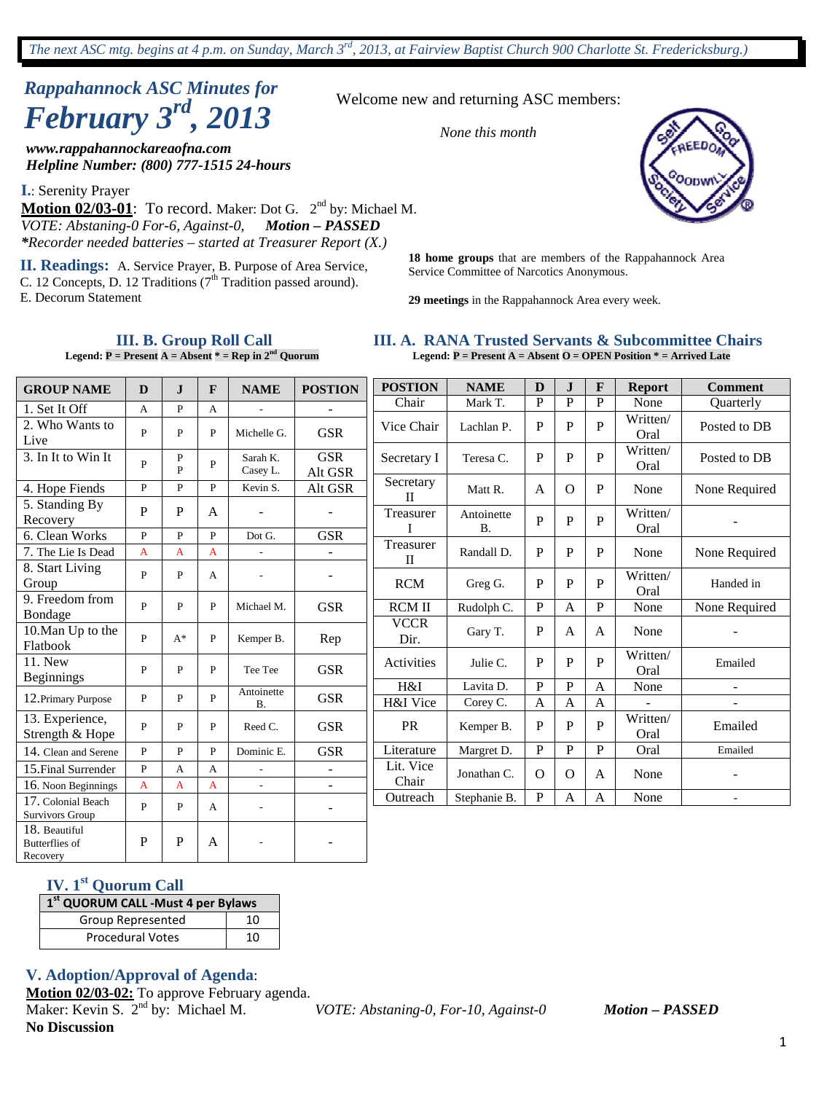# *Rappahannock ASC Minutes for February 3rd , 2013*

*www.rappahannockareaofna.com Helpline Number: (800) 777-1515 24-hours*

**I.**: Serenity Prayer

Motion 02/03-01: To record. Maker: Dot G. 2<sup>nd</sup> by: Michael M. *VOTE: Abstaning-0 For-6, Against-0, Motion – PASSED \*Recorder needed batteries – started at Treasurer Report (X.)*

**II. Readings:** A. Service Prayer, B. Purpose of Area Service, C. 12 Concepts, D. 12 Traditions  $(7<sup>th</sup>$  Tradition passed around). E. Decorum Statement

> **III. B. Group Roll Call Legend:**  $P =$  Present  $A =$  Absent  $* =$  Rep in  $2<sup>nd</sup>$  Quorum

Welcome new and returning ASC members:

*None this month*



**18 home groups** that are members of the Rappahannock Area Service Committee of Narcotics Anonymous.

**29 meetings** in the Rappahannock Area every week.

|  |  |  |  |  | III. A. RANA Trusted Servants & Subcommittee Chairs                   |  |
|--|--|--|--|--|-----------------------------------------------------------------------|--|
|  |  |  |  |  | Legend: $P =$ Present A = Absent O = OPEN Position $* =$ Arrived Late |  |

| <b>GROUP NAME</b>                                  | D              | $\mathbf{J}$ | F            | <b>NAME</b>          | <b>POSTION</b>               | <b>POSTION</b>            | <b>NAME</b>             | D              | $\mathbf{J}$ | F            | <b>Report</b>    | <b>Comment</b>           |
|----------------------------------------------------|----------------|--------------|--------------|----------------------|------------------------------|---------------------------|-------------------------|----------------|--------------|--------------|------------------|--------------------------|
| 1. Set It Off                                      | A              | P            | A            | $\overline{a}$       | $\overline{\phantom{a}}$     | Chair                     | Mark T.                 | P              | $\mathbf{P}$ | P            | None             | Quarterly                |
| 2. Who Wants to<br>Live                            | $\mathbf{P}$   | P            | P            | Michelle G.          | <b>GSR</b>                   | Vice Chair                | Lachlan P.              | $\mathbf P$    | P            | $\mathbf{P}$ | Written/<br>Oral | Posted to DB             |
| 3. In It to Win It                                 | P              | P<br>P       | P            | Sarah K.<br>Casey L. | <b>GSR</b><br>Alt GSR        | Secretary I               | Teresa C.               | $\mathbf{P}$   | P            | P            | Written/<br>Oral | Posted to DB             |
| 4. Hope Fiends                                     | $\mathbf{P}$   | P            | P            | Kevin S.             | Alt GSR                      | Secretary<br>$\mathbf{I}$ | Matt R.                 | A              | $\Omega$     | P            | None             | None Required            |
| 5. Standing By<br>Recovery                         | $\mathbf{P}$   | P            | A            |                      |                              | Treasurer<br>I            | Antoinette<br><b>B.</b> | $\mathbf{P}$   | P            | P            | Written/<br>Oral |                          |
| 6. Clean Works                                     | $\mathbf{P}$   | $\mathbf{p}$ | $\mathbf{P}$ | Dot G.               | <b>GSR</b>                   |                           |                         |                |              |              |                  |                          |
| 7. The Lie Is Dead                                 | $\mathbf{A}$   | A            | A            |                      | $\overline{\phantom{a}}$     | Treasurer<br>$\mathbf{I}$ | Randall D.              | $\mathbf{P}$   | P            | P            | None             | None Required            |
| 8. Start Living<br>Group                           | P              | P            | А            |                      | $\sim$                       | <b>RCM</b>                | Greg G.                 | P              | $\mathbf P$  | $\mathbf{P}$ | Written/<br>Oral | Handed in                |
| 9. Freedom from                                    | $\mathbf{P}$   | P            | $\mathbf{P}$ | Michael M.           | <b>GSR</b>                   | <b>RCM II</b>             | Rudolph C.              | $\mathbf{P}$   | $\mathbf{A}$ | $\mathbf{P}$ | None             | None Required            |
| Bondage<br>10. Man Up to the<br>Flatbook           | P              | $A^*$        | P            | Kemper B.            | Rep                          | <b>VCCR</b><br>Dir.       | Gary T.                 | $\mathbf P$    | $\mathbf{A}$ | A            | None             |                          |
| 11. New<br><b>Beginnings</b>                       | P              | P            | P            | Tee Tee              | <b>GSR</b>                   | Activities                | Julie C.                | P              | P            | $\mathbf{P}$ | Written/<br>Oral | Emailed                  |
|                                                    |                |              |              | Antoinette           |                              | H&I                       | Lavita D.               | $\mathbf{P}$   | ${\bf P}$    | $\mathbf{A}$ | None             | $\blacksquare$           |
| 12. Primary Purpose                                | P              | P            | $\mathbf{P}$ | <b>B.</b>            | <b>GSR</b>                   | H&I Vice                  | Corey C.                | $\overline{A}$ | A            | $\mathbf{A}$ |                  |                          |
| 13. Experience,<br>Strength & Hope                 | $\mathbf{P}$   | P            | $\mathbf{P}$ | Reed C.              | <b>GSR</b>                   | <b>PR</b>                 | Kemper B.               | $\mathbf{P}$   | $\mathbf P$  | $\mathbf P$  | Written/<br>Oral | Emailed                  |
| 14. Clean and Serene                               | $\mathbf{P}$   | P            | $\mathbf{P}$ | Dominic E.           | <b>GSR</b>                   | Literature                | Margret D.              | $\mathbf{P}$   | P            | P            | Oral             | Emailed                  |
| 15. Final Surrender                                | $\mathbf{P}$   | A            | A            |                      |                              | Lit. Vice                 | Jonathan C.             | $\Omega$       | $\Omega$     | $\mathbf{A}$ | None             | -                        |
| 16. Noon Beginnings                                | $\overline{A}$ | $\mathbf{A}$ | A            |                      | $\qquad \qquad \blacksquare$ | Chair                     |                         |                |              |              |                  |                          |
| 17. Colonial Beach<br>Survivors Group              | $\mathbf{P}$   | P            | A            |                      | $\overline{\phantom{a}}$     | Outreach                  | Stephanie B.            | $\, {\bf P}$   | A            | A            | None             | $\overline{\phantom{a}}$ |
| 18. Beautiful<br><b>Butterflies</b> of<br>Recovery | $\mathbf P$    | $\mathbf{P}$ | A            |                      |                              |                           |                         |                |              |              |                  |                          |

### **IV. 1st Quorum Call**

|  | 1st QUORUM CALL -Must 4 per Bylaws |  |
|--|------------------------------------|--|
|  |                                    |  |

| Group Represented       |  |
|-------------------------|--|
| <b>Procedural Votes</b> |  |

#### **V. Adoption/Approval of Agenda**:

**Motion 02/03-02:** To approve February agenda. Maker: Kevin S. 2nd by: Michael M. *VOTE: Abstaning-0, For-10, Against-0 Motion – PASSED* **No Discussion**

1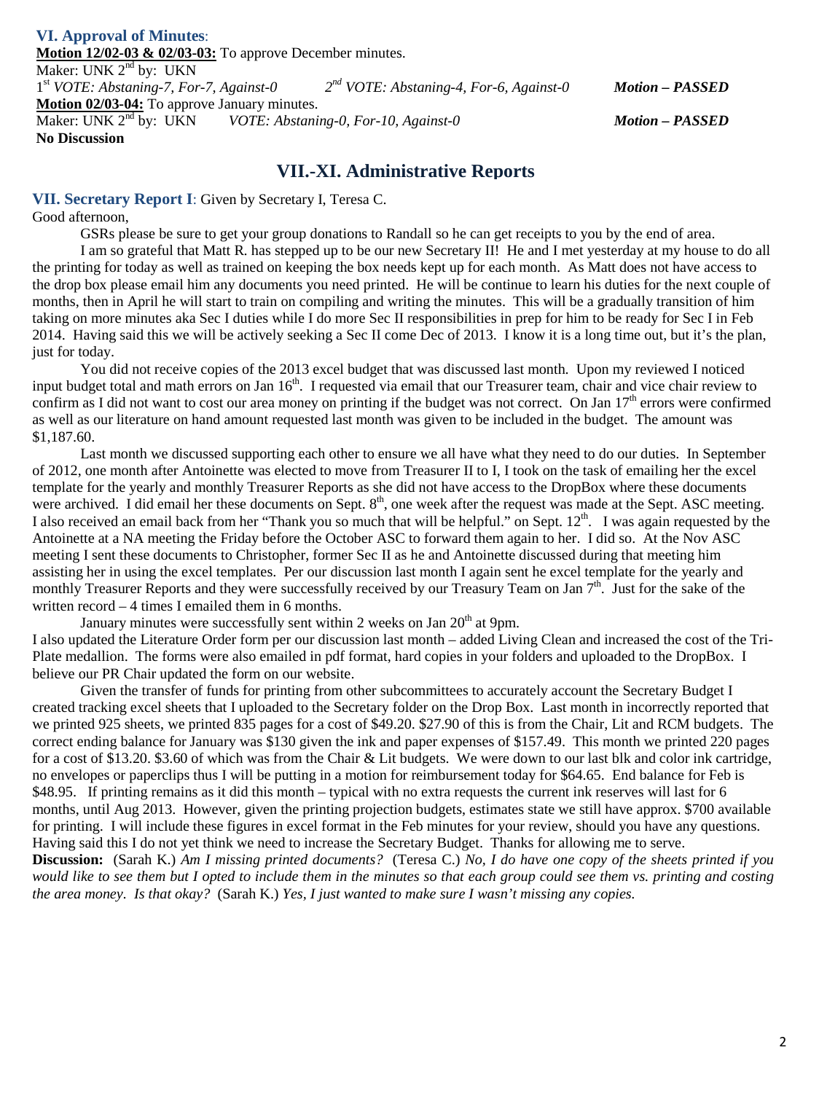#### **VI. Approval of Minutes**: **Motion 12/02-03 & 02/03-03:** To approve December minutes. Maker: UNK  $2^{nd}$  by: UKN  $1^{st}$  VOTE: Abstaning-7, For-7, Against-0 1st *VOTE: Abstaning-7, For-7, Against-0 2nd VOTE: Abstaning-4, For-6, Against-0 Motion – PASSED* **Motion 02/03-04:** To approve January minutes. Maker: UNK 2nd by: UKN *VOTE: Abstaning-0, For-10, Against-0 Motion – PASSED* **No Discussion**

### **VII.-XI. Administrative Reports**

**VII. Secretary Report I**: Given by Secretary I, Teresa C.

Good afternoon,

GSRs please be sure to get your group donations to Randall so he can get receipts to you by the end of area.

I am so grateful that Matt R. has stepped up to be our new Secretary II! He and I met yesterday at my house to do all the printing for today as well as trained on keeping the box needs kept up for each month. As Matt does not have access to the drop box please email him any documents you need printed. He will be continue to learn his duties for the next couple of months, then in April he will start to train on compiling and writing the minutes. This will be a gradually transition of him taking on more minutes aka Sec I duties while I do more Sec II responsibilities in prep for him to be ready for Sec I in Feb 2014. Having said this we will be actively seeking a Sec II come Dec of 2013. I know it is a long time out, but it's the plan, just for today.

You did not receive copies of the 2013 excel budget that was discussed last month. Upon my reviewed I noticed input budget total and math errors on Jan 16<sup>th</sup>. I requested via email that our Treasurer team, chair and vice chair review to confirm as I did not want to cost our area money on printing if the budget was not correct. On Jan  $17<sup>th</sup>$  errors were confirmed as well as our literature on hand amount requested last month was given to be included in the budget. The amount was \$1,187.60.

Last month we discussed supporting each other to ensure we all have what they need to do our duties. In September of 2012, one month after Antoinette was elected to move from Treasurer II to I, I took on the task of emailing her the excel template for the yearly and monthly Treasurer Reports as she did not have access to the DropBox where these documents were archived. I did email her these documents on Sept.  $8<sup>th</sup>$ , one week after the request was made at the Sept. ASC meeting. I also received an email back from her "Thank you so much that will be helpful." on Sept.  $12<sup>th</sup>$ . I was again requested by the Antoinette at a NA meeting the Friday before the October ASC to forward them again to her. I did so. At the Nov ASC meeting I sent these documents to Christopher, former Sec II as he and Antoinette discussed during that meeting him assisting her in using the excel templates. Per our discussion last month I again sent he excel template for the yearly and monthly Treasurer Reports and they were successfully received by our Treasury Team on Jan 7<sup>th</sup>. Just for the sake of the written record – 4 times I emailed them in 6 months.

January minutes were successfully sent within 2 weeks on Jan  $20<sup>th</sup>$  at 9pm.

I also updated the Literature Order form per our discussion last month – added Living Clean and increased the cost of the Tri-Plate medallion. The forms were also emailed in pdf format, hard copies in your folders and uploaded to the DropBox. I believe our PR Chair updated the form on our website.

Given the transfer of funds for printing from other subcommittees to accurately account the Secretary Budget I created tracking excel sheets that I uploaded to the Secretary folder on the Drop Box. Last month in incorrectly reported that we printed 925 sheets, we printed 835 pages for a cost of \$49.20. \$27.90 of this is from the Chair, Lit and RCM budgets. The correct ending balance for January was \$130 given the ink and paper expenses of \$157.49. This month we printed 220 pages for a cost of \$13.20. \$3.60 of which was from the Chair & Lit budgets. We were down to our last blk and color ink cartridge, no envelopes or paperclips thus I will be putting in a motion for reimbursement today for \$64.65. End balance for Feb is \$48.95. If printing remains as it did this month – typical with no extra requests the current ink reserves will last for 6 months, until Aug 2013. However, given the printing projection budgets, estimates state we still have approx. \$700 available for printing. I will include these figures in excel format in the Feb minutes for your review, should you have any questions. Having said this I do not yet think we need to increase the Secretary Budget. Thanks for allowing me to serve.

**Discussion:** (Sarah K.) *Am I missing printed documents?* (Teresa C.) *No, I do have one copy of the sheets printed if you would like to see them but I opted to include them in the minutes so that each group could see them vs. printing and costing the area money. Is that okay?* (Sarah K.) *Yes, I just wanted to make sure I wasn't missing any copies.*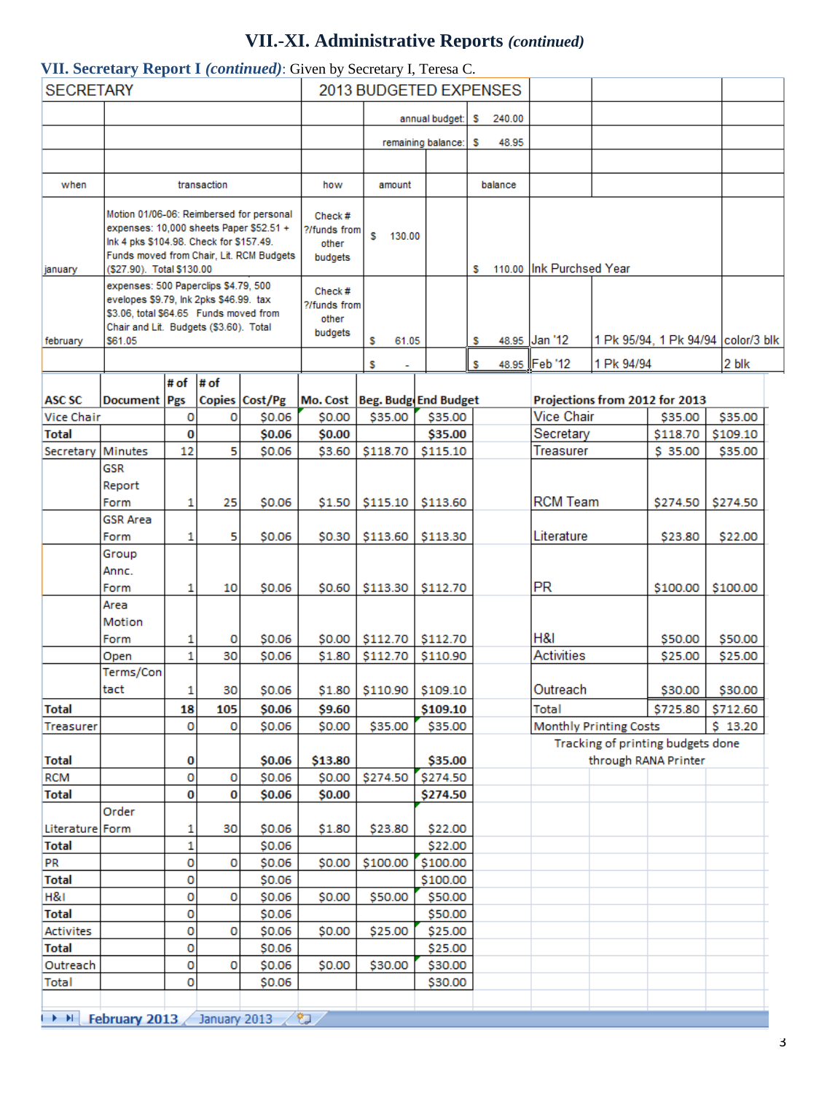# **VII.-XI. Administrative Reports** *(continued)*

#### **VII. Secretary Report I** *(continued)*: Given by Secretary I, Teresa C.

| <b>SECRETARY</b> |                                                                          |                                                                                                         |                                                                                                  |                                                                                                                                                                                                                                                                                                                                                                                                                                                                                                                      | 2013 BUDGETED EXPENSES                                                                                                                     |                                                                                                                                        |                                                              |                                                                                                                                                                                                                                                                                                                                                    |            |                                                                                                     |                                                                                            |                                                                                                                                                                                                                                                                  |
|------------------|--------------------------------------------------------------------------|---------------------------------------------------------------------------------------------------------|--------------------------------------------------------------------------------------------------|----------------------------------------------------------------------------------------------------------------------------------------------------------------------------------------------------------------------------------------------------------------------------------------------------------------------------------------------------------------------------------------------------------------------------------------------------------------------------------------------------------------------|--------------------------------------------------------------------------------------------------------------------------------------------|----------------------------------------------------------------------------------------------------------------------------------------|--------------------------------------------------------------|----------------------------------------------------------------------------------------------------------------------------------------------------------------------------------------------------------------------------------------------------------------------------------------------------------------------------------------------------|------------|-----------------------------------------------------------------------------------------------------|--------------------------------------------------------------------------------------------|------------------------------------------------------------------------------------------------------------------------------------------------------------------------------------------------------------------------------------------------------------------|
|                  |                                                                          |                                                                                                         |                                                                                                  |                                                                                                                                                                                                                                                                                                                                                                                                                                                                                                                      |                                                                                                                                            |                                                                                                                                        |                                                              |                                                                                                                                                                                                                                                                                                                                                    |            |                                                                                                     |                                                                                            |                                                                                                                                                                                                                                                                  |
|                  |                                                                          |                                                                                                         |                                                                                                  |                                                                                                                                                                                                                                                                                                                                                                                                                                                                                                                      |                                                                                                                                            | annual budget:                                                                                                                         | -S.                                                          | 240.00                                                                                                                                                                                                                                                                                                                                             |            |                                                                                                     |                                                                                            |                                                                                                                                                                                                                                                                  |
|                  |                                                                          |                                                                                                         |                                                                                                  |                                                                                                                                                                                                                                                                                                                                                                                                                                                                                                                      |                                                                                                                                            |                                                                                                                                        |                                                              |                                                                                                                                                                                                                                                                                                                                                    |            |                                                                                                     |                                                                                            |                                                                                                                                                                                                                                                                  |
|                  |                                                                          |                                                                                                         |                                                                                                  |                                                                                                                                                                                                                                                                                                                                                                                                                                                                                                                      |                                                                                                                                            | remaining balance:                                                                                                                     | s                                                            | 48.95                                                                                                                                                                                                                                                                                                                                              |            |                                                                                                     |                                                                                            |                                                                                                                                                                                                                                                                  |
|                  |                                                                          |                                                                                                         |                                                                                                  |                                                                                                                                                                                                                                                                                                                                                                                                                                                                                                                      |                                                                                                                                            |                                                                                                                                        |                                                              |                                                                                                                                                                                                                                                                                                                                                    |            |                                                                                                     |                                                                                            |                                                                                                                                                                                                                                                                  |
|                  |                                                                          |                                                                                                         |                                                                                                  | how                                                                                                                                                                                                                                                                                                                                                                                                                                                                                                                  | amount                                                                                                                                     |                                                                                                                                        |                                                              |                                                                                                                                                                                                                                                                                                                                                    |            |                                                                                                     |                                                                                            |                                                                                                                                                                                                                                                                  |
|                  |                                                                          |                                                                                                         |                                                                                                  |                                                                                                                                                                                                                                                                                                                                                                                                                                                                                                                      |                                                                                                                                            |                                                                                                                                        |                                                              |                                                                                                                                                                                                                                                                                                                                                    |            |                                                                                                     |                                                                                            |                                                                                                                                                                                                                                                                  |
|                  |                                                                          |                                                                                                         |                                                                                                  |                                                                                                                                                                                                                                                                                                                                                                                                                                                                                                                      |                                                                                                                                            |                                                                                                                                        |                                                              |                                                                                                                                                                                                                                                                                                                                                    |            |                                                                                                     |                                                                                            |                                                                                                                                                                                                                                                                  |
|                  |                                                                          |                                                                                                         |                                                                                                  | other                                                                                                                                                                                                                                                                                                                                                                                                                                                                                                                |                                                                                                                                            |                                                                                                                                        |                                                              |                                                                                                                                                                                                                                                                                                                                                    |            |                                                                                                     |                                                                                            |                                                                                                                                                                                                                                                                  |
|                  |                                                                          |                                                                                                         |                                                                                                  |                                                                                                                                                                                                                                                                                                                                                                                                                                                                                                                      |                                                                                                                                            |                                                                                                                                        |                                                              |                                                                                                                                                                                                                                                                                                                                                    |            |                                                                                                     |                                                                                            |                                                                                                                                                                                                                                                                  |
|                  |                                                                          |                                                                                                         |                                                                                                  |                                                                                                                                                                                                                                                                                                                                                                                                                                                                                                                      |                                                                                                                                            |                                                                                                                                        |                                                              |                                                                                                                                                                                                                                                                                                                                                    |            |                                                                                                     |                                                                                            |                                                                                                                                                                                                                                                                  |
|                  |                                                                          |                                                                                                         |                                                                                                  |                                                                                                                                                                                                                                                                                                                                                                                                                                                                                                                      |                                                                                                                                            |                                                                                                                                        |                                                              |                                                                                                                                                                                                                                                                                                                                                    |            |                                                                                                     |                                                                                            |                                                                                                                                                                                                                                                                  |
|                  |                                                                          |                                                                                                         |                                                                                                  | other                                                                                                                                                                                                                                                                                                                                                                                                                                                                                                                |                                                                                                                                            |                                                                                                                                        |                                                              |                                                                                                                                                                                                                                                                                                                                                    |            |                                                                                                     |                                                                                            |                                                                                                                                                                                                                                                                  |
|                  |                                                                          |                                                                                                         |                                                                                                  | budgets                                                                                                                                                                                                                                                                                                                                                                                                                                                                                                              |                                                                                                                                            |                                                                                                                                        |                                                              |                                                                                                                                                                                                                                                                                                                                                    |            |                                                                                                     |                                                                                            |                                                                                                                                                                                                                                                                  |
|                  |                                                                          |                                                                                                         |                                                                                                  |                                                                                                                                                                                                                                                                                                                                                                                                                                                                                                                      |                                                                                                                                            |                                                                                                                                        |                                                              |                                                                                                                                                                                                                                                                                                                                                    |            |                                                                                                     |                                                                                            |                                                                                                                                                                                                                                                                  |
|                  |                                                                          |                                                                                                         |                                                                                                  |                                                                                                                                                                                                                                                                                                                                                                                                                                                                                                                      |                                                                                                                                            |                                                                                                                                        |                                                              |                                                                                                                                                                                                                                                                                                                                                    |            |                                                                                                     |                                                                                            | 2 blk                                                                                                                                                                                                                                                            |
|                  |                                                                          |                                                                                                         |                                                                                                  |                                                                                                                                                                                                                                                                                                                                                                                                                                                                                                                      |                                                                                                                                            |                                                                                                                                        |                                                              |                                                                                                                                                                                                                                                                                                                                                    |            |                                                                                                     |                                                                                            |                                                                                                                                                                                                                                                                  |
|                  |                                                                          |                                                                                                         |                                                                                                  |                                                                                                                                                                                                                                                                                                                                                                                                                                                                                                                      |                                                                                                                                            |                                                                                                                                        |                                                              |                                                                                                                                                                                                                                                                                                                                                    |            |                                                                                                     |                                                                                            | \$35.00                                                                                                                                                                                                                                                          |
|                  |                                                                          |                                                                                                         |                                                                                                  |                                                                                                                                                                                                                                                                                                                                                                                                                                                                                                                      |                                                                                                                                            |                                                                                                                                        |                                                              |                                                                                                                                                                                                                                                                                                                                                    |            |                                                                                                     |                                                                                            | \$109.10                                                                                                                                                                                                                                                         |
|                  |                                                                          |                                                                                                         |                                                                                                  |                                                                                                                                                                                                                                                                                                                                                                                                                                                                                                                      |                                                                                                                                            |                                                                                                                                        |                                                              |                                                                                                                                                                                                                                                                                                                                                    |            |                                                                                                     |                                                                                            | \$35.00                                                                                                                                                                                                                                                          |
| <b>GSR</b>       |                                                                          |                                                                                                         |                                                                                                  |                                                                                                                                                                                                                                                                                                                                                                                                                                                                                                                      |                                                                                                                                            |                                                                                                                                        |                                                              |                                                                                                                                                                                                                                                                                                                                                    |            |                                                                                                     |                                                                                            |                                                                                                                                                                                                                                                                  |
| Report           |                                                                          |                                                                                                         |                                                                                                  |                                                                                                                                                                                                                                                                                                                                                                                                                                                                                                                      |                                                                                                                                            |                                                                                                                                        |                                                              |                                                                                                                                                                                                                                                                                                                                                    |            |                                                                                                     |                                                                                            |                                                                                                                                                                                                                                                                  |
| Form             | 1                                                                        | 25                                                                                                      | \$0.06                                                                                           |                                                                                                                                                                                                                                                                                                                                                                                                                                                                                                                      |                                                                                                                                            |                                                                                                                                        |                                                              |                                                                                                                                                                                                                                                                                                                                                    |            |                                                                                                     | \$274.50                                                                                   | \$274.50                                                                                                                                                                                                                                                         |
| <b>GSR Area</b>  |                                                                          |                                                                                                         |                                                                                                  |                                                                                                                                                                                                                                                                                                                                                                                                                                                                                                                      |                                                                                                                                            |                                                                                                                                        |                                                              |                                                                                                                                                                                                                                                                                                                                                    |            |                                                                                                     |                                                                                            |                                                                                                                                                                                                                                                                  |
| Form             | 1                                                                        | 5                                                                                                       | \$0.06                                                                                           | \$0.30                                                                                                                                                                                                                                                                                                                                                                                                                                                                                                               |                                                                                                                                            |                                                                                                                                        |                                                              |                                                                                                                                                                                                                                                                                                                                                    | Literature |                                                                                                     | \$23.80                                                                                    | \$22.00                                                                                                                                                                                                                                                          |
| Group            |                                                                          |                                                                                                         |                                                                                                  |                                                                                                                                                                                                                                                                                                                                                                                                                                                                                                                      |                                                                                                                                            |                                                                                                                                        |                                                              |                                                                                                                                                                                                                                                                                                                                                    |            |                                                                                                     |                                                                                            |                                                                                                                                                                                                                                                                  |
| Annc.            |                                                                          |                                                                                                         |                                                                                                  |                                                                                                                                                                                                                                                                                                                                                                                                                                                                                                                      |                                                                                                                                            |                                                                                                                                        |                                                              |                                                                                                                                                                                                                                                                                                                                                    |            |                                                                                                     |                                                                                            |                                                                                                                                                                                                                                                                  |
| Form             | 1                                                                        | 10                                                                                                      | \$0.06                                                                                           | \$0.60                                                                                                                                                                                                                                                                                                                                                                                                                                                                                                               |                                                                                                                                            |                                                                                                                                        |                                                              |                                                                                                                                                                                                                                                                                                                                                    |            |                                                                                                     | \$100.00                                                                                   | \$100.00                                                                                                                                                                                                                                                         |
| Area             |                                                                          |                                                                                                         |                                                                                                  |                                                                                                                                                                                                                                                                                                                                                                                                                                                                                                                      |                                                                                                                                            |                                                                                                                                        |                                                              |                                                                                                                                                                                                                                                                                                                                                    |            |                                                                                                     |                                                                                            |                                                                                                                                                                                                                                                                  |
|                  |                                                                          |                                                                                                         |                                                                                                  |                                                                                                                                                                                                                                                                                                                                                                                                                                                                                                                      |                                                                                                                                            |                                                                                                                                        |                                                              |                                                                                                                                                                                                                                                                                                                                                    |            |                                                                                                     |                                                                                            |                                                                                                                                                                                                                                                                  |
|                  |                                                                          |                                                                                                         |                                                                                                  |                                                                                                                                                                                                                                                                                                                                                                                                                                                                                                                      |                                                                                                                                            |                                                                                                                                        |                                                              |                                                                                                                                                                                                                                                                                                                                                    |            |                                                                                                     |                                                                                            | \$50.00                                                                                                                                                                                                                                                          |
|                  |                                                                          |                                                                                                         |                                                                                                  |                                                                                                                                                                                                                                                                                                                                                                                                                                                                                                                      |                                                                                                                                            |                                                                                                                                        |                                                              |                                                                                                                                                                                                                                                                                                                                                    |            |                                                                                                     |                                                                                            | \$25.00                                                                                                                                                                                                                                                          |
|                  |                                                                          |                                                                                                         |                                                                                                  |                                                                                                                                                                                                                                                                                                                                                                                                                                                                                                                      |                                                                                                                                            |                                                                                                                                        |                                                              |                                                                                                                                                                                                                                                                                                                                                    |            |                                                                                                     |                                                                                            | \$30.00                                                                                                                                                                                                                                                          |
|                  |                                                                          |                                                                                                         |                                                                                                  |                                                                                                                                                                                                                                                                                                                                                                                                                                                                                                                      |                                                                                                                                            |                                                                                                                                        |                                                              |                                                                                                                                                                                                                                                                                                                                                    |            |                                                                                                     |                                                                                            | \$712.60                                                                                                                                                                                                                                                         |
|                  |                                                                          |                                                                                                         |                                                                                                  |                                                                                                                                                                                                                                                                                                                                                                                                                                                                                                                      |                                                                                                                                            |                                                                                                                                        |                                                              |                                                                                                                                                                                                                                                                                                                                                    |            |                                                                                                     |                                                                                            | \$13.20                                                                                                                                                                                                                                                          |
|                  |                                                                          |                                                                                                         |                                                                                                  |                                                                                                                                                                                                                                                                                                                                                                                                                                                                                                                      |                                                                                                                                            |                                                                                                                                        |                                                              |                                                                                                                                                                                                                                                                                                                                                    |            |                                                                                                     |                                                                                            |                                                                                                                                                                                                                                                                  |
|                  | 0                                                                        |                                                                                                         | \$0.06                                                                                           |                                                                                                                                                                                                                                                                                                                                                                                                                                                                                                                      |                                                                                                                                            |                                                                                                                                        |                                                              |                                                                                                                                                                                                                                                                                                                                                    |            |                                                                                                     |                                                                                            |                                                                                                                                                                                                                                                                  |
|                  | 0                                                                        | o                                                                                                       | \$0.06                                                                                           | \$0.00                                                                                                                                                                                                                                                                                                                                                                                                                                                                                                               | \$274.50                                                                                                                                   |                                                                                                                                        |                                                              |                                                                                                                                                                                                                                                                                                                                                    |            |                                                                                                     |                                                                                            |                                                                                                                                                                                                                                                                  |
|                  | 0                                                                        | 0                                                                                                       | \$0.06                                                                                           | \$0.00                                                                                                                                                                                                                                                                                                                                                                                                                                                                                                               |                                                                                                                                            |                                                                                                                                        |                                                              |                                                                                                                                                                                                                                                                                                                                                    |            |                                                                                                     |                                                                                            |                                                                                                                                                                                                                                                                  |
| Order            |                                                                          |                                                                                                         |                                                                                                  |                                                                                                                                                                                                                                                                                                                                                                                                                                                                                                                      |                                                                                                                                            |                                                                                                                                        |                                                              |                                                                                                                                                                                                                                                                                                                                                    |            |                                                                                                     |                                                                                            |                                                                                                                                                                                                                                                                  |
| Literature Form  | 1                                                                        | 30                                                                                                      | \$0.06                                                                                           | \$1.80                                                                                                                                                                                                                                                                                                                                                                                                                                                                                                               | \$23.80                                                                                                                                    |                                                                                                                                        |                                                              |                                                                                                                                                                                                                                                                                                                                                    |            |                                                                                                     |                                                                                            |                                                                                                                                                                                                                                                                  |
|                  | 1                                                                        |                                                                                                         | \$0.06                                                                                           |                                                                                                                                                                                                                                                                                                                                                                                                                                                                                                                      |                                                                                                                                            |                                                                                                                                        |                                                              |                                                                                                                                                                                                                                                                                                                                                    |            |                                                                                                     |                                                                                            |                                                                                                                                                                                                                                                                  |
|                  | 0                                                                        | 0                                                                                                       | \$0.06                                                                                           | \$0.00                                                                                                                                                                                                                                                                                                                                                                                                                                                                                                               | \$100.00                                                                                                                                   |                                                                                                                                        |                                                              |                                                                                                                                                                                                                                                                                                                                                    |            |                                                                                                     |                                                                                            |                                                                                                                                                                                                                                                                  |
|                  | 0                                                                        |                                                                                                         | \$0.06                                                                                           |                                                                                                                                                                                                                                                                                                                                                                                                                                                                                                                      |                                                                                                                                            |                                                                                                                                        |                                                              |                                                                                                                                                                                                                                                                                                                                                    |            |                                                                                                     |                                                                                            |                                                                                                                                                                                                                                                                  |
|                  |                                                                          |                                                                                                         |                                                                                                  |                                                                                                                                                                                                                                                                                                                                                                                                                                                                                                                      |                                                                                                                                            |                                                                                                                                        |                                                              |                                                                                                                                                                                                                                                                                                                                                    |            |                                                                                                     |                                                                                            |                                                                                                                                                                                                                                                                  |
|                  |                                                                          |                                                                                                         |                                                                                                  |                                                                                                                                                                                                                                                                                                                                                                                                                                                                                                                      |                                                                                                                                            |                                                                                                                                        |                                                              |                                                                                                                                                                                                                                                                                                                                                    |            |                                                                                                     |                                                                                            |                                                                                                                                                                                                                                                                  |
|                  |                                                                          |                                                                                                         |                                                                                                  |                                                                                                                                                                                                                                                                                                                                                                                                                                                                                                                      |                                                                                                                                            |                                                                                                                                        |                                                              |                                                                                                                                                                                                                                                                                                                                                    |            |                                                                                                     |                                                                                            |                                                                                                                                                                                                                                                                  |
|                  |                                                                          |                                                                                                         |                                                                                                  |                                                                                                                                                                                                                                                                                                                                                                                                                                                                                                                      |                                                                                                                                            |                                                                                                                                        |                                                              |                                                                                                                                                                                                                                                                                                                                                    |            |                                                                                                     |                                                                                            |                                                                                                                                                                                                                                                                  |
|                  |                                                                          |                                                                                                         |                                                                                                  |                                                                                                                                                                                                                                                                                                                                                                                                                                                                                                                      |                                                                                                                                            |                                                                                                                                        |                                                              |                                                                                                                                                                                                                                                                                                                                                    |            |                                                                                                     |                                                                                            |                                                                                                                                                                                                                                                                  |
|                  | \$61.05<br><b>Minutes</b><br>Motion<br>Form<br>Open<br>Terms/Con<br>tact | # of<br>Document Pgs<br>0<br>0<br>12<br>1<br>$\mathbf{1}$<br>1<br>18<br>0<br>0<br>0<br>0<br>0<br>0<br>0 | transaction<br>(\$27.90). Total \$130.00<br># of<br>0<br>5<br>o<br>30<br>105<br>o<br>o<br>0<br>٥ | Motion 01/06-06: Reimbersed for personal<br>expenses: 10,000 sheets Paper \$52.51 +<br>Ink 4 pks \$104.98. Check for \$157.49.<br>Funds moved from Chair, Lit. RCM Budgets<br>expenses: 500 Paperclips \$4.79, 500<br>evelopes \$9.79, Ink 2pks \$46.99. tax<br>\$3.06, total \$64.65 Funds moved from<br>Chair and Lit. Budgets (\$3.60). Total<br>Copies Cost/Pg<br>\$0.06<br>\$0.06<br>\$0.06<br>\$0.06<br>\$0.06<br>30<br>\$0.06<br>\$0.06<br>\$0.06<br>\$0.06<br>\$0.06<br>\$0.06<br>\$0.06<br>\$0.06<br>\$0.06 | Check#<br>budgets<br>Check#<br>\$0.00<br>\$0.00<br>\$3.60<br>\$1.80<br>\$1.80<br>\$9.60<br>\$0.00<br>\$13.80<br>\$0.00<br>\$0.00<br>\$0.00 | ?/funds from<br>s<br>?/funds from<br>s<br>s<br>\$35.00<br>\$118.70<br>\$113.60<br>\$112.70<br>\$35.00<br>\$50.00<br>\$25.00<br>\$30.00 | 130.00<br>61.05<br>$$1.50$ $$115.10$<br>\$113.30<br>\$110.90 | s<br>s<br>s<br>Mo. Cost   Beg. Budg End Budget<br>\$35.00<br>\$35.00<br>\$115.10<br>\$113.60<br>\$113.30<br>\$112.70<br>\$0.00 \$112.70 \$112.70<br>\$110.90<br>\$109.10<br>\$109.10<br>\$35.00<br>\$35.00<br>\$274.50<br>\$274.50<br>\$22.00<br>\$22.00<br>\$100.00<br>\$100.00<br>\$50.00<br>\$50.00<br>\$25.00<br>\$25.00<br>\$30.00<br>\$30.00 | balance    | 48.95 Jan '12<br>48.95 Feb '12<br><b>PR</b><br>H&I<br><b>Activities</b><br>Outreach<br><b>Total</b> | 110.00 Ink Purchsed Year<br><b>Vice Chair</b><br>Secretary<br>Treasurer<br><b>RCM Team</b> | 1 Pk 95/94, 1 Pk 94/94 color/3 blk<br>1 Pk 94/94<br>Projections from 2012 for 2013<br>\$35.00<br>\$118.70<br>\$ 35.00<br>\$50.00<br>\$25.00<br>\$30.00<br>\$725.80<br><b>Monthly Printing Costs</b><br>Tracking of printing budgets done<br>through RANA Printer |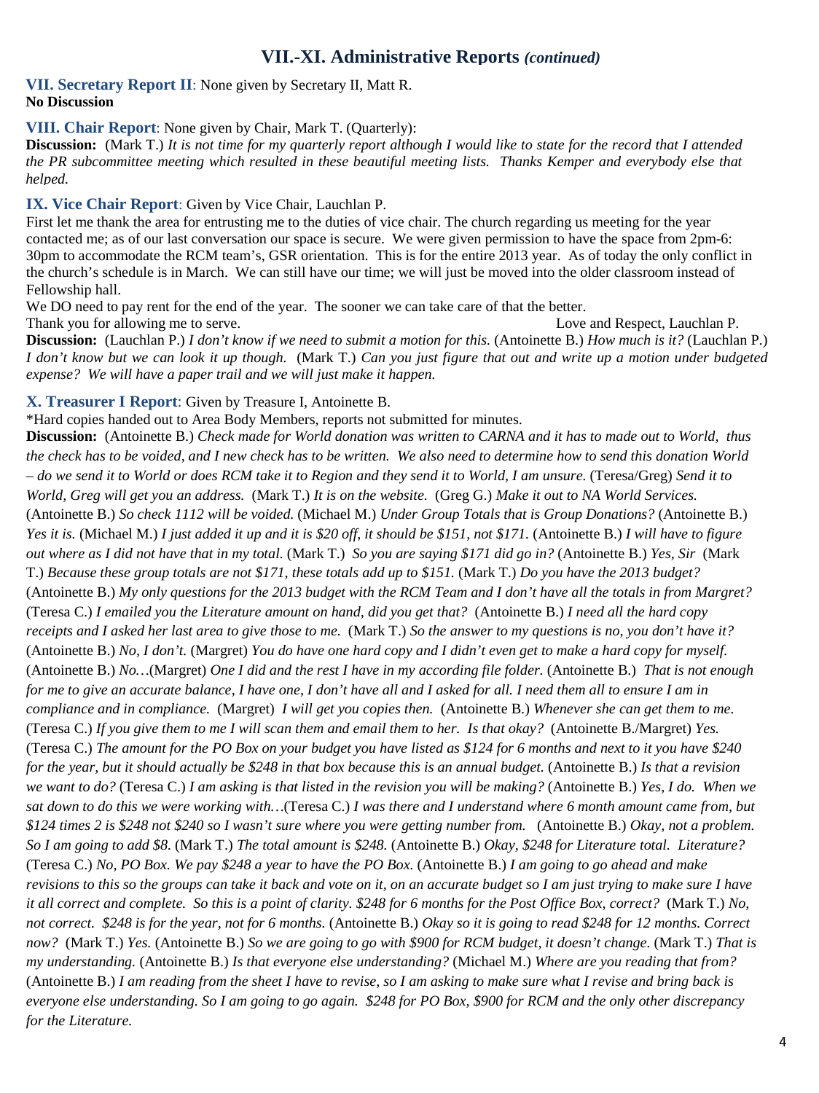# **VII.-XI. Administrative Reports** *(continued)*

#### **VII. Secretary Report II**: None given by Secretary II, Matt R. **No Discussion**

#### **VIII. Chair Report**: None given by Chair, Mark T. (Quarterly):

**Discussion:** (Mark T.) *It is not time for my quarterly report although I would like to state for the record that I attended the PR subcommittee meeting which resulted in these beautiful meeting lists. Thanks Kemper and everybody else that helped.* 

#### **IX. Vice Chair Report**: Given by Vice Chair, Lauchlan P.

First let me thank the area for entrusting me to the duties of vice chair. The church regarding us meeting for the year contacted me; as of our last conversation our space is secure. We were given permission to have the space from 2pm-6: 30pm to accommodate the RCM team's, GSR orientation. This is for the entire 2013 year. As of today the only conflict in the church's schedule is in March. We can still have our time; we will just be moved into the older classroom instead of Fellowship hall.

We DO need to pay rent for the end of the year. The sooner we can take care of that the better.

Thank you for allowing me to serve. Thank you for allowing me to serve. Love and Respect, Lauchlan P. **Discussion:** (Lauchlan P.) *I don't know if we need to submit a motion for this.* (Antoinette B.) *How much is it?* (Lauchlan P.) *I don't know but we can look it up though.* (Mark T.) *Can you just figure that out and write up a motion under budgeted expense? We will have a paper trail and we will just make it happen.*

#### **X. Treasurer I Report**: Given by Treasure I, Antoinette B.

\*Hard copies handed out to Area Body Members, reports not submitted for minutes.

**Discussion:** (Antoinette B.) *Check made for World donation was written to CARNA and it has to made out to World, thus the check has to be voided, and I new check has to be written. We also need to determine how to send this donation World – do we send it to World or does RCM take it to Region and they send it to World, I am unsure.* (Teresa/Greg) *Send it to World, Greg will get you an address.* (Mark T.) *It is on the website.* (Greg G.) *Make it out to NA World Services.*  (Antoinette B.) *So check 1112 will be voided.* (Michael M.) *Under Group Totals that is Group Donations?* (Antoinette B.) *Yes it is.* (Michael M.) *I just added it up and it is \$20 off, it should be \$151, not \$171.* (Antoinette B.) *I will have to figure out where as I did not have that in my total.* (Mark T.) *So you are saying \$171 did go in?* (Antoinette B.) *Yes, Sir* (Mark T.) *Because these group totals are not \$171, these totals add up to \$151.* (Mark T.) *Do you have the 2013 budget?*  (Antoinette B.) *My only questions for the 2013 budget with the RCM Team and I don't have all the totals in from Margret?*  (Teresa C.) *I emailed you the Literature amount on hand, did you get that?* (Antoinette B.) *I need all the hard copy receipts and I asked her last area to give those to me.* (Mark T.) *So the answer to my questions is no, you don't have it?*  (Antoinette B.) *No, I don't.* (Margret) *You do have one hard copy and I didn't even get to make a hard copy for myself.*  (Antoinette B.) *No…*(Margret) *One I did and the rest I have in my according file folder.* (Antoinette B.) *That is not enough for me to give an accurate balance, I have one, I don't have all and I asked for all. I need them all to ensure I am in compliance and in compliance.* (Margret) *I will get you copies then.* (Antoinette B.) *Whenever she can get them to me.* (Teresa C.) *If you give them to me I will scan them and email them to her. Is that okay?* (Antoinette B./Margret) *Yes.*  (Teresa C.) *The amount for the PO Box on your budget you have listed as \$124 for 6 months and next to it you have \$240 for the year, but it should actually be \$248 in that box because this is an annual budget.* (Antoinette B.) *Is that a revision we want to do?* (Teresa C.) *I am asking is that listed in the revision you will be making?* (Antoinette B.) *Yes, I do. When we sat down to do this we were working with…*(Teresa C.) *I was there and I understand where 6 month amount came from, but \$124 times 2 is \$248 not \$240 so I wasn't sure where you were getting number from.* (Antoinette B.) *Okay, not a problem. So I am going to add \$8.* (Mark T.) *The total amount is \$248.* (Antoinette B.) *Okay, \$248 for Literature total. Literature?*  (Teresa C.) *No, PO Box. We pay \$248 a year to have the PO Box.* (Antoinette B.) *I am going to go ahead and make revisions to this so the groups can take it back and vote on it, on an accurate budget so I am just trying to make sure I have it all correct and complete. So this is a point of clarity. \$248 for 6 months for the Post Office Box, correct?* (Mark T.) *No, not correct. \$248 is for the year, not for 6 months.* (Antoinette B.) *Okay so it is going to read \$248 for 12 months. Correct now?* (Mark T.) *Yes.* (Antoinette B.) *So we are going to go with \$900 for RCM budget, it doesn't change.* (Mark T.) *That is my understanding.* (Antoinette B.) *Is that everyone else understanding?* (Michael M.) *Where are you reading that from?*  (Antoinette B.) *I am reading from the sheet I have to revise, so I am asking to make sure what I revise and bring back is everyone else understanding. So I am going to go again. \$248 for PO Box, \$900 for RCM and the only other discrepancy for the Literature.*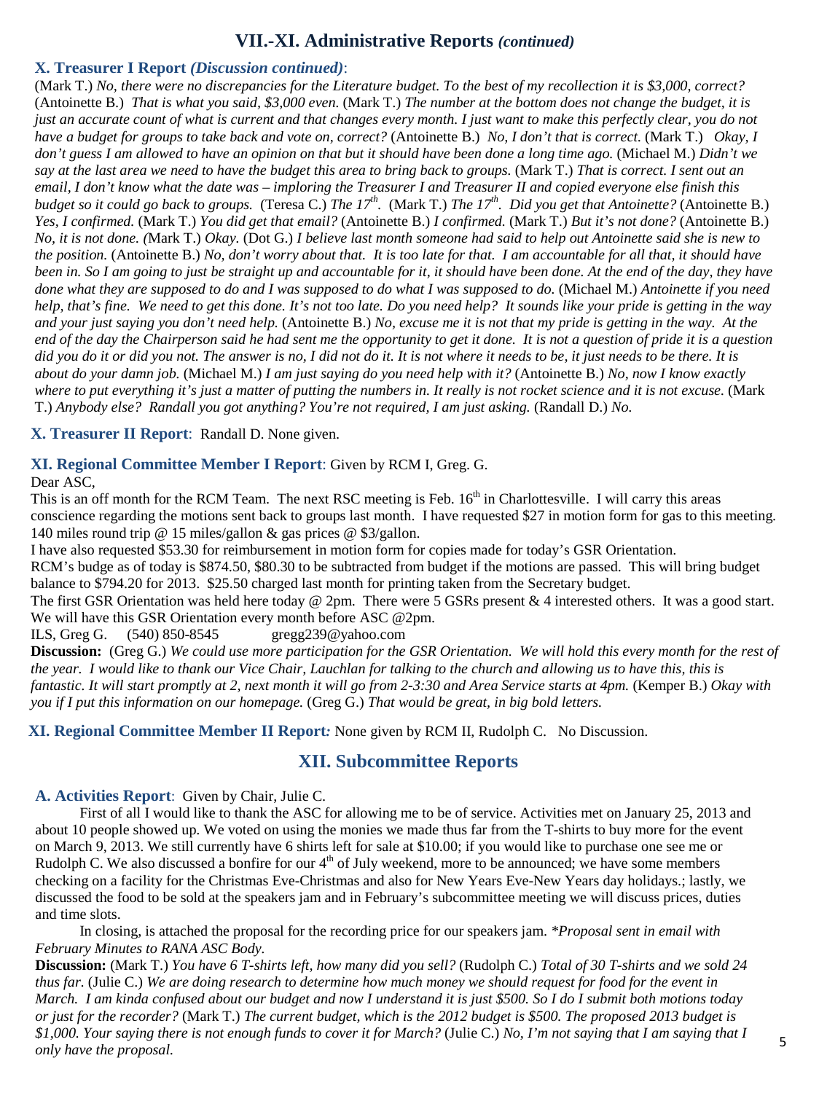## **VII.-XI. Administrative Reports** *(continued)*

#### **X. Treasurer I Report** *(Discussion continued)*:

(Mark T.) *No, there were no discrepancies for the Literature budget. To the best of my recollection it is \$3,000, correct?*  (Antoinette B.) *That is what you said, \$3,000 even.* (Mark T.) *The number at the bottom does not change the budget, it is just an accurate count of what is current and that changes every month. I just want to make this perfectly clear, you do not have a budget for groups to take back and vote on, correct?* (Antoinette B.) *No, I don't that is correct.* (Mark T.) *Okay, I don't guess I am allowed to have an opinion on that but it should have been done a long time ago.* (Michael M.) *Didn't we say at the last area we need to have the budget this area to bring back to groups.* (Mark T.) *That is correct. I sent out an email, I don't know what the date was – imploring the Treasurer I and Treasurer II and copied everyone else finish this budget so it could go back to groups.* (Teresa C.) *The 17<sup>th</sup>.* (Mark T.) *The 17<sup>th</sup>. Did you get that Antoinette?* (Antoinette B.) *Yes, I confirmed.* (Mark T.) *You did get that email?* (Antoinette B.) *I confirmed.* (Mark T.) *But it's not done?* (Antoinette B.) *No, it is not done. (*Mark T.) *Okay.* (Dot G.) *I believe last month someone had said to help out Antoinette said she is new to the position.* (Antoinette B.) *No, don't worry about that. It is too late for that. I am accountable for all that, it should have been in. So I am going to just be straight up and accountable for it, it should have been done. At the end of the day, they have done what they are supposed to do and I was supposed to do what I was supposed to do.* (Michael M.) *Antoinette if you need help, that's fine. We need to get this done. It's not too late. Do you need help? It sounds like your pride is getting in the way and your just saying you don't need help.* (Antoinette B.) *No, excuse me it is not that my pride is getting in the way. At the end of the day the Chairperson said he had sent me the opportunity to get it done. It is not a question of pride it is a question did you do it or did you not. The answer is no, I did not do it. It is not where it needs to be, it just needs to be there. It is about do your damn job.* (Michael M.) *I am just saying do you need help with it?* (Antoinette B.) *No, now I know exactly where to put everything it's just a matter of putting the numbers in. It really is not rocket science and it is not excuse.* (Mark T.) *Anybody else? Randall you got anything? You're not required, I am just asking.* (Randall D.) *No.*

**X. Treasurer II Report**: Randall D. None given.

#### **XI. Regional Committee Member I Report**: Given by RCM I, Greg. G.

Dear ASC,

This is an off month for the RCM Team. The next RSC meeting is Feb. 16<sup>th</sup> in Charlottesville. I will carry this areas conscience regarding the motions sent back to groups last month. I have requested \$27 in motion form for gas to this meeting. 140 miles round trip @ 15 miles/gallon & gas prices @ \$3/gallon.

I have also requested \$53.30 for reimbursement in motion form for copies made for today's GSR Orientation.

RCM's budge as of today is \$874.50, \$80.30 to be subtracted from budget if the motions are passed. This will bring budget balance to \$794.20 for 2013. \$25.50 charged last month for printing taken from the Secretary budget.

The first GSR Orientation was held here today @ 2pm. There were 5 GSRs present & 4 interested others. It was a good start. We will have this GSR Orientation every month before ASC @2pm.

ILS, Greg G. (540) 850-8545 gregg239@yahoo.com

**Discussion:** (Greg G.) *We could use more participation for the GSR Orientation. We will hold this every month for the rest of the year. I would like to thank our Vice Chair, Lauchlan for talking to the church and allowing us to have this, this is fantastic. It will start promptly at 2, next month it will go from 2-3:30 and Area Service starts at 4pm.* (Kemper B.) Okay with *you if I put this information on our homepage.* (Greg G.) *That would be great, in big bold letters.*

**XI. Regional Committee Member II Report***:* None given by RCM II, Rudolph C. No Discussion.

## **XII. Subcommittee Reports**

**A. Activities Report**: Given by Chair, Julie C.

 First of all I would like to thank the ASC for allowing me to be of service. Activities met on January 25, 2013 and about 10 people showed up. We voted on using the monies we made thus far from the T-shirts to buy more for the event on March 9, 2013. We still currently have 6 shirts left for sale at \$10.00; if you would like to purchase one see me or Rudolph C. We also discussed a bonfire for our  $4<sup>th</sup>$  of July weekend, more to be announced; we have some members checking on a facility for the Christmas Eve-Christmas and also for New Years Eve-New Years day holidays.; lastly, we discussed the food to be sold at the speakers jam and in February's subcommittee meeting we will discuss prices, duties and time slots.

 In closing, is attached the proposal for the recording price for our speakers jam. *\*Proposal sent in email with February Minutes to RANA ASC Body.*

**Discussion:** (Mark T.) *You have 6 T-shirts left, how many did you sell?* (Rudolph C.) *Total of 30 T-shirts and we sold 24 thus far.* (Julie C.) *We are doing research to determine how much money we should request for food for the event in March. I am kinda confused about our budget and now I understand it is just \$500. So I do I submit both motions today or just for the recorder?* (Mark T.) *The current budget, which is the 2012 budget is \$500. The proposed 2013 budget is \$1,000. Your saying there is not enough funds to cover it for March?* (Julie C.) *No, I'm not saying that I am saying that I only have the proposal.*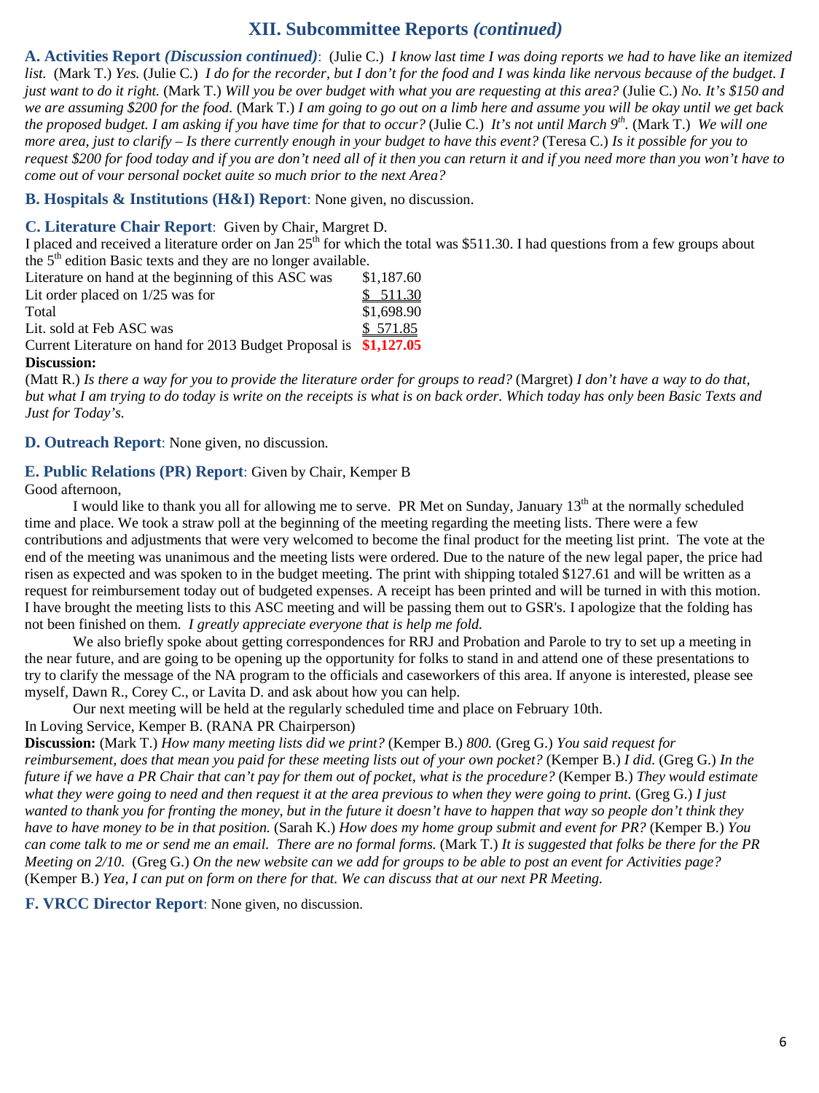# **XII. Subcommittee Reports** *(continued)*

**A. Activities Report** *(Discussion continued)*: (Julie C.) *I know last time I was doing reports we had to have like an itemized list.* (Mark T.) *Yes.* (Julie C.) *I do for the recorder, but I don't for the food and I was kinda like nervous because of the budget. I just want to do it right.* (Mark T.) *Will you be over budget with what you are requesting at this area?* (Julie C.) *No. It's \$150 and we are assuming \$200 for the food.* (Mark T.) *I am going to go out on a limb here and assume you will be okay until we get back the proposed budget. I am asking if you have time for that to occur?* (Julie C.) *It's not until March 9th.* (Mark T.) *We will one more area, just to clarify – Is there currently enough in your budget to have this event?* (Teresa C.) *Is it possible for you to request \$200 for food today and if you are don't need all of it then you can return it and if you need more than you won't have to come out of your personal pocket quite so much prior to the next Area?*

**B. Hospitals & Institutions (H&I) Report**: None given, no discussion.

#### **C. Literature Chair Report**: Given by Chair, Margret D.

I placed and received a literature order on Jan  $25<sup>th</sup>$  for which the total was \$511.30. I had questions from a few groups about the  $5<sup>th</sup>$  edition Basic texts and they are no longer available.

| Literature on hand at the beginning of this ASC was               | \$1,187.60 |
|-------------------------------------------------------------------|------------|
| Lit order placed on $1/25$ was for                                | \$511.30   |
| Total                                                             | \$1,698.90 |
| Lit. sold at Feb ASC was                                          | \$571.85   |
| Current Literature on hand for 2013 Budget Proposal is \$1,127.05 |            |
|                                                                   |            |

**Discussion:**

(Matt R.) *Is there a way for you to provide the literature order for groups to read?* (Margret) *I don't have a way to do that, but what I am trying to do today is write on the receipts is what is on back order. Which today has only been Basic Texts and Just for Today's.*

**D. Outreach Report**: None given, no discussion.

#### **E. Public Relations (PR) Report**: Given by Chair, Kemper B

Good afternoon,

I would like to thank you all for allowing me to serve. PR Met on Sunday, January 13<sup>th</sup> at the normally scheduled time and place. We took a straw poll at the beginning of the meeting regarding the meeting lists. There were a few contributions and adjustments that were very welcomed to become the final product for the meeting list print. The vote at the end of the meeting was unanimous and the meeting lists were ordered. Due to the nature of the new legal paper, the price had risen as expected and was spoken to in the budget meeting. The print with shipping totaled \$127.61 and will be written as a request for reimbursement today out of budgeted expenses. A receipt has been printed and will be turned in with this motion. I have brought the meeting lists to this ASC meeting and will be passing them out to GSR's. I apologize that the folding has not been finished on them. *I greatly appreciate everyone that is help me fold.* 

We also briefly spoke about getting correspondences for RRJ and Probation and Parole to try to set up a meeting in the near future, and are going to be opening up the opportunity for folks to stand in and attend one of these presentations to try to clarify the message of the NA program to the officials and caseworkers of this area. If anyone is interested, please see myself, Dawn R., Corey C., or Lavita D. and ask about how you can help.

Our next meeting will be held at the regularly scheduled time and place on February 10th.

#### In Loving Service, Kemper B. (RANA PR Chairperson)

**Discussion:** (Mark T.) *How many meeting lists did we print?* (Kemper B.) *800.* (Greg G.) *You said request for reimbursement, does that mean you paid for these meeting lists out of your own pocket?* (Kemper B.) *I did.* (Greg G.) *In the future if we have a PR Chair that can't pay for them out of pocket, what is the procedure?* (Kemper B.) *They would estimate*  what they were going to need and then request it at the area previous to when they were going to print. (Greg G.) *I* just *wanted to thank you for fronting the money, but in the future it doesn't have to happen that way so people don't think they have to have money to be in that position.* (Sarah K.) *How does my home group submit and event for PR?* (Kemper B.) *You can come talk to me or send me an email. There are no formal forms.* (Mark T.) *It is suggested that folks be there for the PR Meeting on 2/10.* (Greg G.) *On the new website can we add for groups to be able to post an event for Activities page?*  (Kemper B.) *Yea, I can put on form on there for that. We can discuss that at our next PR Meeting.* 

**F. VRCC Director Report**: None given, no discussion.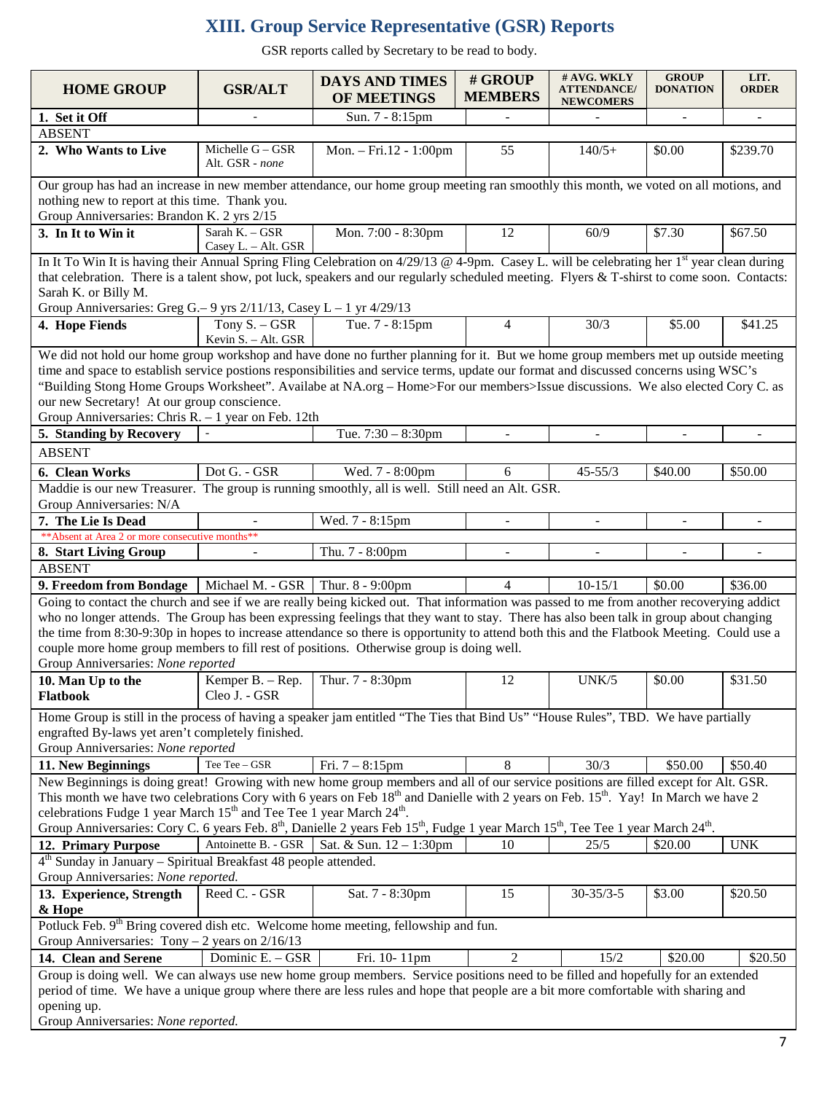# **XIII. Group Service Representative (GSR) Reports**

GSR reports called by Secretary to be read to body.

| <b>HOME GROUP</b>                                                                                                                                                                                                                      | <b>GSR/ALT</b>                                                                                           | <b>DAYS AND TIMES</b><br>OF MEETINGS | # GROUP<br><b>MEMBERS</b> | # AVG. WKLY<br><b>ATTENDANCE</b> /<br><b>NEWCOMERS</b> | <b>GROUP</b><br><b>DONATION</b> | LIT.<br><b>ORDER</b> |  |  |
|----------------------------------------------------------------------------------------------------------------------------------------------------------------------------------------------------------------------------------------|----------------------------------------------------------------------------------------------------------|--------------------------------------|---------------------------|--------------------------------------------------------|---------------------------------|----------------------|--|--|
| 1. Set it Off                                                                                                                                                                                                                          |                                                                                                          | Sun. 7 - 8:15pm                      | $\overline{a}$            | $\blacksquare$                                         | $\overline{a}$                  | $\blacksquare$       |  |  |
| <b>ABSENT</b>                                                                                                                                                                                                                          |                                                                                                          |                                      |                           |                                                        |                                 |                      |  |  |
| 2. Who Wants to Live                                                                                                                                                                                                                   | Michelle G - GSR<br>Alt. GSR - none                                                                      | Mon. - Fri.12 - 1:00pm               | 55                        | $140/5+$                                               | \$0.00                          | \$239.70             |  |  |
| Our group has had an increase in new member attendance, our home group meeting ran smoothly this month, we voted on all motions, and                                                                                                   |                                                                                                          |                                      |                           |                                                        |                                 |                      |  |  |
| nothing new to report at this time. Thank you.                                                                                                                                                                                         |                                                                                                          |                                      |                           |                                                        |                                 |                      |  |  |
| Group Anniversaries: Brandon K. 2 yrs 2/15                                                                                                                                                                                             |                                                                                                          |                                      |                           |                                                        |                                 |                      |  |  |
| 3. In It to Win it                                                                                                                                                                                                                     | Sarah K. - GSR<br>Casey L. - Alt. GSR                                                                    | Mon. 7:00 - 8:30pm                   | 12                        | 60/9                                                   | \$7.30                          | \$67.50              |  |  |
| In It To Win It is having their Annual Spring Fling Celebration on $4/29/13$ @ 4-9pm. Casey L. will be celebrating her 1 <sup>st</sup> year clean during                                                                               |                                                                                                          |                                      |                           |                                                        |                                 |                      |  |  |
| that celebration. There is a talent show, pot luck, speakers and our regularly scheduled meeting. Flyers & T-shirst to come soon. Contacts:                                                                                            |                                                                                                          |                                      |                           |                                                        |                                 |                      |  |  |
| Sarah K. or Billy M.                                                                                                                                                                                                                   |                                                                                                          |                                      |                           |                                                        |                                 |                      |  |  |
| Group Anniversaries: Greg G. – 9 yrs $2/11/13$ , Casey L – 1 yr $4/29/13$                                                                                                                                                              |                                                                                                          |                                      |                           |                                                        |                                 |                      |  |  |
| 4. Hope Fiends                                                                                                                                                                                                                         | Tony $S. - GSR$<br>Kevin S. - Alt. GSR                                                                   | Tue. 7 - 8:15pm                      | 4                         | 30/3                                                   | \$5.00                          | \$41.25              |  |  |
| We did not hold our home group workshop and have done no further planning for it. But we home group members met up outside meeting                                                                                                     |                                                                                                          |                                      |                           |                                                        |                                 |                      |  |  |
| time and space to establish service postions responsibilities and service terms, update our format and discussed concerns using WSC's                                                                                                  |                                                                                                          |                                      |                           |                                                        |                                 |                      |  |  |
| "Building Stong Home Groups Worksheet". Availabe at NA.org - Home>For our members>Issue discussions. We also elected Cory C. as                                                                                                        |                                                                                                          |                                      |                           |                                                        |                                 |                      |  |  |
| our new Secretary! At our group conscience.                                                                                                                                                                                            |                                                                                                          |                                      |                           |                                                        |                                 |                      |  |  |
| Group Anniversaries: Chris R. - 1 year on Feb. 12th                                                                                                                                                                                    |                                                                                                          |                                      |                           |                                                        |                                 |                      |  |  |
| 5. Standing by Recovery                                                                                                                                                                                                                |                                                                                                          | Tue. $7:30 - 8:30$ pm                | $\sim$                    |                                                        |                                 |                      |  |  |
| <b>ABSENT</b>                                                                                                                                                                                                                          |                                                                                                          |                                      |                           |                                                        |                                 |                      |  |  |
| 6. Clean Works                                                                                                                                                                                                                         | Dot G. - GSR                                                                                             | Wed. 7 - 8:00pm                      | 6                         | $45 - 55/3$                                            | \$40.00                         | \$50.00              |  |  |
| Maddie is our new Treasurer. The group is running smoothly, all is well. Still need an Alt. GSR.                                                                                                                                       |                                                                                                          |                                      |                           |                                                        |                                 |                      |  |  |
| Group Anniversaries: N/A                                                                                                                                                                                                               |                                                                                                          |                                      |                           |                                                        |                                 |                      |  |  |
| 7. The Lie Is Dead                                                                                                                                                                                                                     |                                                                                                          | Wed. 7 - 8:15pm                      |                           |                                                        |                                 |                      |  |  |
| ** Absent at Area 2 or more consecutive months**                                                                                                                                                                                       |                                                                                                          |                                      |                           |                                                        |                                 |                      |  |  |
| 8. Start Living Group                                                                                                                                                                                                                  |                                                                                                          | Thu. 7 - 8:00pm                      |                           |                                                        |                                 |                      |  |  |
| <b>ABSENT</b>                                                                                                                                                                                                                          |                                                                                                          |                                      |                           |                                                        |                                 |                      |  |  |
| 9. Freedom from Bondage                                                                                                                                                                                                                | Michael M. - GSR $\vert$ Thur. 8 - 9:00pm                                                                |                                      | 4                         | $10 - 15/1$                                            | \$0.00                          | \$36.00              |  |  |
| Going to contact the church and see if we are really being kicked out. That information was passed to me from another recoverying addict                                                                                               |                                                                                                          |                                      |                           |                                                        |                                 |                      |  |  |
| who no longer attends. The Group has been expressing feelings that they want to stay. There has also been talk in group about changing                                                                                                 |                                                                                                          |                                      |                           |                                                        |                                 |                      |  |  |
| the time from 8:30-9:30p in hopes to increase attendance so there is opportunity to attend both this and the Flatbook Meeting. Could use a                                                                                             |                                                                                                          |                                      |                           |                                                        |                                 |                      |  |  |
| couple more home group members to fill rest of positions. Otherwise group is doing well.                                                                                                                                               |                                                                                                          |                                      |                           |                                                        |                                 |                      |  |  |
| Group Anniversaries: None reported                                                                                                                                                                                                     |                                                                                                          |                                      |                           |                                                        |                                 |                      |  |  |
| 10. Man Up to the<br>Flatbook                                                                                                                                                                                                          | Kemper B. - Rep.<br>Cleo J. - GSR                                                                        | Thur. 7 - 8:30pm                     | 12                        | UNK/5                                                  | \$0.00                          | \$31.50              |  |  |
|                                                                                                                                                                                                                                        |                                                                                                          |                                      |                           |                                                        |                                 |                      |  |  |
| Home Group is still in the process of having a speaker jam entitled "The Ties that Bind Us" "House Rules", TBD. We have partially                                                                                                      |                                                                                                          |                                      |                           |                                                        |                                 |                      |  |  |
| engrafted By-laws yet aren't completely finished.                                                                                                                                                                                      |                                                                                                          |                                      |                           |                                                        |                                 |                      |  |  |
| Group Anniversaries: None reported                                                                                                                                                                                                     |                                                                                                          |                                      |                           |                                                        |                                 |                      |  |  |
| 11. New Beginnings                                                                                                                                                                                                                     | Tee Tee - GSR                                                                                            | Fri. $7 - 8:15$ pm                   | $\,8\,$                   | 30/3                                                   | \$50.00                         | \$50.40              |  |  |
| New Beginnings is doing great! Growing with new home group members and all of our service positions are filled except for Alt. GSR.                                                                                                    |                                                                                                          |                                      |                           |                                                        |                                 |                      |  |  |
| This month we have two celebrations Cory with 6 years on Feb $18th$ and Danielle with 2 years on Feb. $15th$ . Yay! In March we have 2<br>celebrations Fudge 1 year March 15 <sup>th</sup> and Tee Tee 1 year March 24 <sup>th</sup> . |                                                                                                          |                                      |                           |                                                        |                                 |                      |  |  |
| Group Anniversaries: Cory C. 6 years Feb. 8 <sup>th</sup> , Danielle 2 years Feb 15 <sup>th</sup> , Fudge 1 year March 15 <sup>th</sup> , Tee Tee 1 year March 24 <sup>th</sup> .                                                      |                                                                                                          |                                      |                           |                                                        |                                 |                      |  |  |
|                                                                                                                                                                                                                                        | Antoinette B. - GSR                                                                                      | Sat. & Sun. 12 - 1:30pm              | 10                        | 25/5                                                   | \$20.00                         | <b>UNK</b>           |  |  |
| 12. Primary Purpose                                                                                                                                                                                                                    |                                                                                                          |                                      |                           |                                                        |                                 |                      |  |  |
|                                                                                                                                                                                                                                        | $4th$ Sunday in January – Spiritual Breakfast 48 people attended.<br>Group Anniversaries: None reported. |                                      |                           |                                                        |                                 |                      |  |  |
| 13. Experience, Strength                                                                                                                                                                                                               | Reed C. - GSR                                                                                            | Sat. 7 - 8:30pm                      | 15                        | $30 - 35/3 - 5$                                        | \$3.00                          | \$20.50              |  |  |
| & Hope                                                                                                                                                                                                                                 |                                                                                                          |                                      |                           |                                                        |                                 |                      |  |  |
| Potluck Feb. 9 <sup>th</sup> Bring covered dish etc. Welcome home meeting, fellowship and fun.                                                                                                                                         |                                                                                                          |                                      |                           |                                                        |                                 |                      |  |  |
| Group Anniversaries: Tony $-2$ years on $2/16/13$                                                                                                                                                                                      |                                                                                                          |                                      |                           |                                                        |                                 |                      |  |  |
| 14. Clean and Serene                                                                                                                                                                                                                   | Dominic E. - GSR                                                                                         | Fri. 10-11pm                         | 2                         | 15/2                                                   | \$20.00                         | \$20.50              |  |  |
| Group is doing well. We can always use new home group members. Service positions need to be filled and hopefully for an extended                                                                                                       |                                                                                                          |                                      |                           |                                                        |                                 |                      |  |  |
| period of time. We have a unique group where there are less rules and hope that people are a bit more comfortable with sharing and                                                                                                     |                                                                                                          |                                      |                           |                                                        |                                 |                      |  |  |
| opening up.                                                                                                                                                                                                                            |                                                                                                          |                                      |                           |                                                        |                                 |                      |  |  |
| Group Anniversaries: None reported.                                                                                                                                                                                                    |                                                                                                          |                                      |                           |                                                        |                                 |                      |  |  |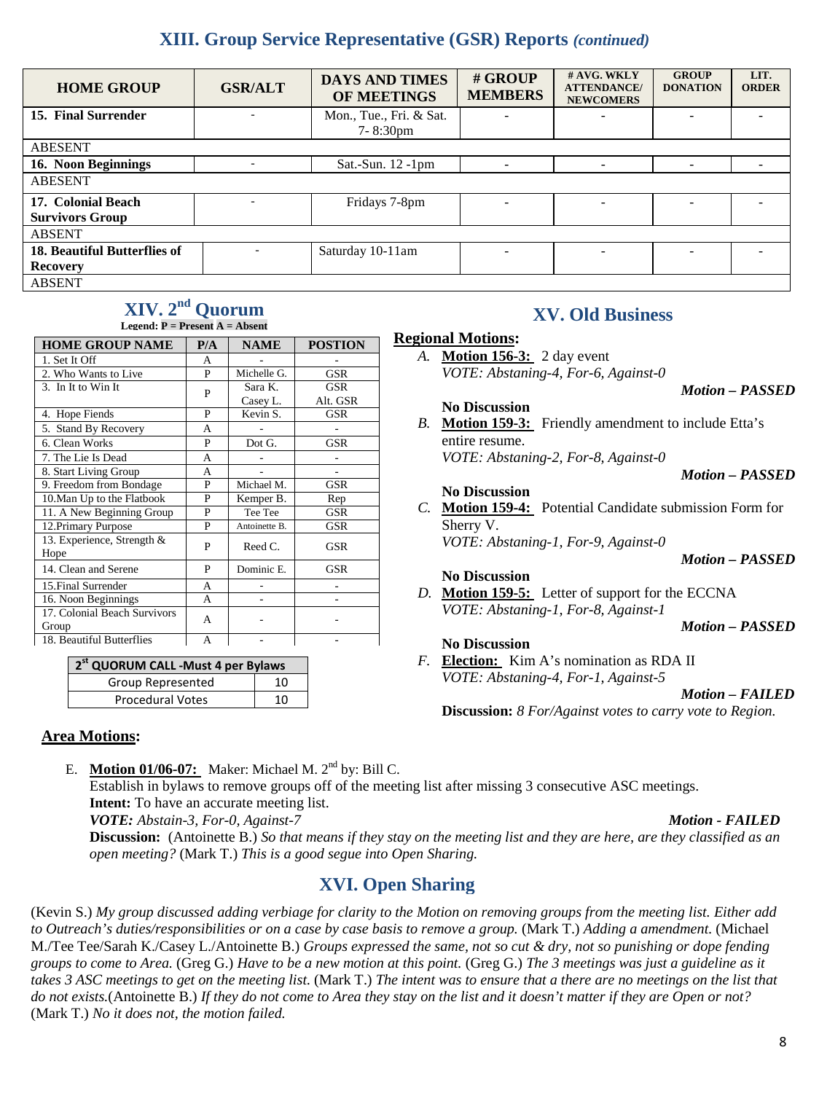# **XIII. Group Service Representative (GSR) Reports** *(continued)*

| <b>HOME GROUP</b>                   | <b>GSR/ALT</b> | <b>DAYS AND TIMES</b><br>OF MEETINGS | # GROUP<br><b>MEMBERS</b> | # AVG. WKLY<br><b>ATTENDANCE/</b><br><b>NEWCOMERS</b> | <b>GROUP</b><br><b>DONATION</b> | LIT.<br><b>ORDER</b> |
|-------------------------------------|----------------|--------------------------------------|---------------------------|-------------------------------------------------------|---------------------------------|----------------------|
| 15. Final Surrender                 |                | Mon., Tue., Fri. & Sat.              |                           | ۰                                                     |                                 |                      |
|                                     |                | $7 - 8:30 \text{pm}$                 |                           |                                                       |                                 |                      |
| <b>ABESENT</b>                      |                |                                      |                           |                                                       |                                 |                      |
| 16. Noon Beginnings                 |                | Sat.-Sun. $12$ -1pm                  |                           |                                                       |                                 |                      |
| <b>ABESENT</b>                      |                |                                      |                           |                                                       |                                 |                      |
| 17. Colonial Beach                  |                | Fridays 7-8pm                        |                           |                                                       |                                 |                      |
| <b>Survivors Group</b>              |                |                                      |                           |                                                       |                                 |                      |
| <b>ABSENT</b>                       |                |                                      |                           |                                                       |                                 |                      |
| <b>18. Beautiful Butterflies of</b> |                | Saturday 10-11am                     |                           |                                                       |                                 |                      |
| <b>Recovery</b>                     |                |                                      |                           |                                                       |                                 |                      |
| <b>ABSENT</b>                       |                |                                      |                           |                                                       |                                 |                      |

# **XIV. 2nd Quorum**

| Legend: $P = Present A = Absent$ |
|----------------------------------|
|                                  |

| <b>HOME GROUP NAME</b>             | P/A | <b>NAME</b>   | <b>POSTION</b> |
|------------------------------------|-----|---------------|----------------|
| 1. Set It Off                      | A   |               |                |
| 2. Who Wants to Live               | P   | Michelle G.   | GSR            |
| 3. In It to Win It                 | P   | Sara K.       | GSR            |
|                                    |     | Casey L.      | Alt. GSR       |
| 4. Hope Fiends                     | P   | Kevin S.      | GSR            |
| 5. Stand By Recovery               | A   |               |                |
| 6. Clean Works                     | P   | Dot G.        | <b>GSR</b>     |
| 7. The Lie Is Dead                 | A   |               |                |
| 8. Start Living Group              | A   |               |                |
| 9. Freedom from Bondage            | P   | Michael M.    | <b>GSR</b>     |
| 10. Man Up to the Flatbook         | P   | Kemper B.     | Rep            |
| 11. A New Beginning Group          | P   | Tee Tee       | GSR            |
| 12. Primary Purpose                | P   | Antoinette B. | GSR            |
| 13. Experience, Strength &<br>Hope | P   | Reed C.       | GSR            |
| 14. Clean and Serene               | P   | Dominic E.    | GSR            |
| 15. Final Surrender                | A   |               |                |
| 16. Noon Beginnings                | A   |               |                |
| 17. Colonial Beach Survivors       | A   |               |                |
| Group                              |     |               |                |
| 18. Beautiful Butterflies          | A   |               |                |

| 2 <sup>st</sup> QUORUM CALL -Must 4 per Bylaws |    |
|------------------------------------------------|----|
| Group Represented                              | 10 |
| <b>Procedural Votes</b>                        | 10 |

# **XV. Old Business**

#### **Regional Motions:**

*A.* **Motion 156-3:** 2 day event *VOTE: Abstaning-4, For-6, Against-0*

#### *Motion – PASSED*

 *Motion – PASSED*

#### **No Discussion**

*B.* **Motion 159-3:** Friendly amendment to include Etta's entire resume.

*VOTE: Abstaning-2, For-8, Against-0*

#### **No Discussion**

*C.* **Motion 159-4:** Potential Candidate submission Form for Sherry V. *VOTE: Abstaning-1, For-9, Against-0*

 *Motion – PASSED*

**No Discussion**

*D.* **Motion 159-5:** Letter of support for the ECCNA *VOTE: Abstaning-1, For-8, Against-1*

 *Motion – PASSED*

#### **No Discussion**

*F.* **Election:** Kim A's nomination as RDA II *VOTE: Abstaning-4, For-1, Against-5*

 *Motion – FAILED*

**Discussion:** *8 For/Against votes to carry vote to Region.*

### **Area Motions:**

E. **Motion 01/06-07:** Maker: Michael M. 2nd by: Bill C.

Establish in bylaws to remove groups off of the meeting list after missing 3 consecutive ASC meetings. **Intent:** To have an accurate meeting list.

*VOTE: Abstain-3, For-0, Against-7 Motion - FAILED*

 $\overline{a}$  **Discussion:** (Antoinette B.) *So that means if they stay on the meeting list and they are here, are they classified as an open meeting?* (Mark T.) *This is a good segue into Open Sharing.* 

# **XVI. Open Sharing**

 (Kevin S.) *My group discussed adding verbiage for clarity to the Motion on removing groups from the meeting list. Either add to Outreach's duties/responsibilities or on a case by case basis to remove a group.* (Mark T.) *Adding a amendment.* (Michael  M./Tee Tee/Sarah K./Casey L./Antoinette B.) *Groups expressed the same, not so cut & dry, not so punishing or dope fending takes 3 ASC meetings to get on the meeting list.* (Mark T.) *The intent was to ensure that a there are no meetings on the list that do not exists.*(Antoinette B.) *If they do not come to Area they stay on the list and it doesn't matter if they are Open or not? groups to come to Area.* (Greg G.) *Have to be a new motion at this point.* (Greg G.) *The 3 meetings was just a guideline as it*  (Mark T.) *No it does not, the motion failed.*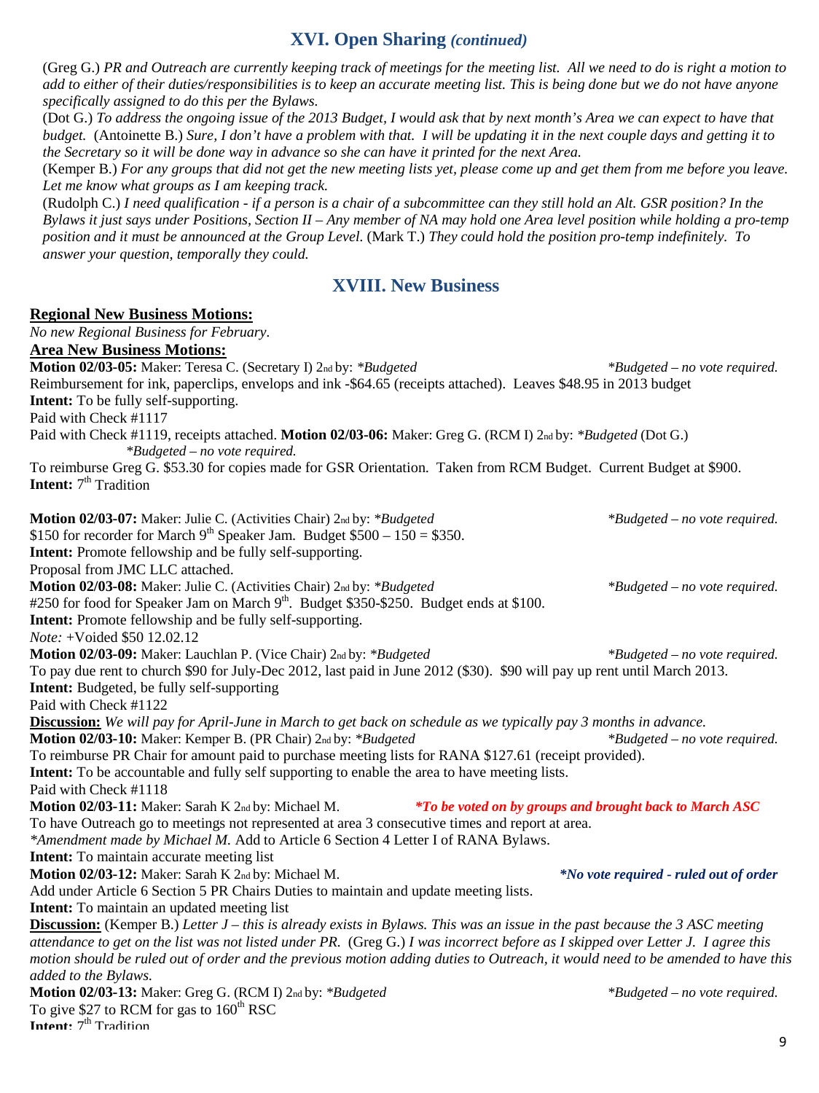# **XVI. Open Sharing** *(continued)*

(Greg G.) *PR and Outreach are currently keeping track of meetings for the meeting list. All we need to do is right a motion to add to either of their duties/responsibilities is to keep an accurate meeting list. This is being done but we do not have anyone specifically assigned to do this per the Bylaws.*

(Dot G.) *To address the ongoing issue of the 2013 Budget, I would ask that by next month's Area we can expect to have that budget.* (Antoinette B.) *Sure, I don't have a problem with that. I will be updating it in the next couple days and getting it to the Secretary so it will be done way in advance so she can have it printed for the next Area.* 

(Kemper B.) *For any groups that did not get the new meeting lists yet, please come up and get them from me before you leave. Let me know what groups as I am keeping track.* 

(Rudolph C.) *I need qualification - if a person is a chair of a subcommittee can they still hold an Alt. GSR position? In the Bylaws it just says under Positions, Section II – Any member of NA may hold one Area level position while holding a pro-temp position and it must be announced at the Group Level.* (Mark T.) *They could hold the position pro-temp indefinitely. To answer your question, temporally they could.* 

# **XVIII. New Business**

#### **Regional New Business Motions:**

| No new Regional Business for February.                                                                                                        |                                                                |
|-----------------------------------------------------------------------------------------------------------------------------------------------|----------------------------------------------------------------|
| <b>Area New Business Motions:</b>                                                                                                             |                                                                |
| Motion 02/03-05: Maker: Teresa C. (Secretary I) 2nd by: *Budgeted                                                                             | *Budgeted – no vote required.                                  |
| Reimbursement for ink, paperclips, envelops and ink -\$64.65 (receipts attached). Leaves \$48.95 in 2013 budget                               |                                                                |
| <b>Intent:</b> To be fully self-supporting.                                                                                                   |                                                                |
| Paid with Check #1117                                                                                                                         |                                                                |
| Paid with Check #1119, receipts attached. Motion 02/03-06: Maker: Greg G. (RCM I) 2nd by: *Budgeted (Dot G.)<br>*Budgeted - no vote required. |                                                                |
| To reimburse Greg G. \$53.30 for copies made for GSR Orientation. Taken from RCM Budget. Current Budget at \$900.                             |                                                                |
| <b>Intent:</b> 7 <sup>th</sup> Tradition                                                                                                      |                                                                |
|                                                                                                                                               |                                                                |
| Motion 02/03-07: Maker: Julie C. (Activities Chair) 2nd by: *Budgeted                                                                         | <i>*Budgeted – no vote required.</i>                           |
| \$150 for recorder for March 9 <sup>th</sup> Speaker Jam. Budget $$500 - 150 = $350$ .                                                        |                                                                |
| Intent: Promote fellowship and be fully self-supporting.                                                                                      |                                                                |
| Proposal from JMC LLC attached.                                                                                                               |                                                                |
| Motion 02/03-08: Maker: Julie C. (Activities Chair) 2nd by: *Budgeted                                                                         | *Budgeted – no vote required.                                  |
| #250 for food for Speaker Jam on March 9 <sup>th</sup> . Budget \$350-\$250. Budget ends at \$100.                                            |                                                                |
| <b>Intent:</b> Promote fellowship and be fully self-supporting.                                                                               |                                                                |
| Note: +Voided \$50 12.02.12                                                                                                                   |                                                                |
| Motion 02/03-09: Maker: Lauchlan P. (Vice Chair) 2nd by: *Budgeted                                                                            | *Budgeted – no vote required.                                  |
| To pay due rent to church \$90 for July-Dec 2012, last paid in June 2012 (\$30). \$90 will pay up rent until March 2013.                      |                                                                |
| <b>Intent:</b> Budgeted, be fully self-supporting                                                                                             |                                                                |
| Paid with Check #1122                                                                                                                         |                                                                |
| Discussion: We will pay for April-June in March to get back on schedule as we typically pay 3 months in advance.                              |                                                                |
| Motion 02/03-10: Maker: Kemper B. (PR Chair) 2nd by: *Budgeted                                                                                | *Budgeted - no vote required.                                  |
| To reimburse PR Chair for amount paid to purchase meeting lists for RANA \$127.61 (receipt provided).                                         |                                                                |
| <b>Intent:</b> To be accountable and fully self supporting to enable the area to have meeting lists.                                          |                                                                |
| Paid with Check #1118                                                                                                                         |                                                                |
| Motion 02/03-11: Maker: Sarah K 2nd by: Michael M.                                                                                            | <i>*To be voted on by groups and brought back to March ASC</i> |
| To have Outreach go to meetings not represented at area 3 consecutive times and report at area.                                               |                                                                |
| *Amendment made by Michael M. Add to Article 6 Section 4 Letter I of RANA Bylaws.                                                             |                                                                |
| Intent: To maintain accurate meeting list                                                                                                     |                                                                |
| Motion 02/03-12: Maker: Sarah K 2nd by: Michael M.                                                                                            | <i>*No vote required - ruled out of order</i>                  |
| Add under Article 6 Section 5 PR Chairs Duties to maintain and update meeting lists.                                                          |                                                                |
| <b>Intent:</b> To maintain an updated meeting list                                                                                            |                                                                |
| <b>Discussion:</b> (Kemper B.) Letter $J$ – this is already exists in Bylaws. This was an issue in the past because the 3 ASC meeting         |                                                                |
| attendance to get on the list was not listed under PR. (Greg G.) I was incorrect before as I skipped over Letter J. I agree this              |                                                                |
| motion should be ruled out of order and the previous motion adding duties to Outreach, it would need to be amended to have this               |                                                                |
| added to the Bylaws.                                                                                                                          |                                                                |
| Motion 02/03-13: Maker: Greg G. (RCM I) 2nd by: *Budgeted                                                                                     | *Budgeted – no vote required.                                  |
| To give \$27 to RCM for gas to $160th RSC$<br>Intent: 7 <sup>th</sup> Tradition                                                               |                                                                |
|                                                                                                                                               |                                                                |